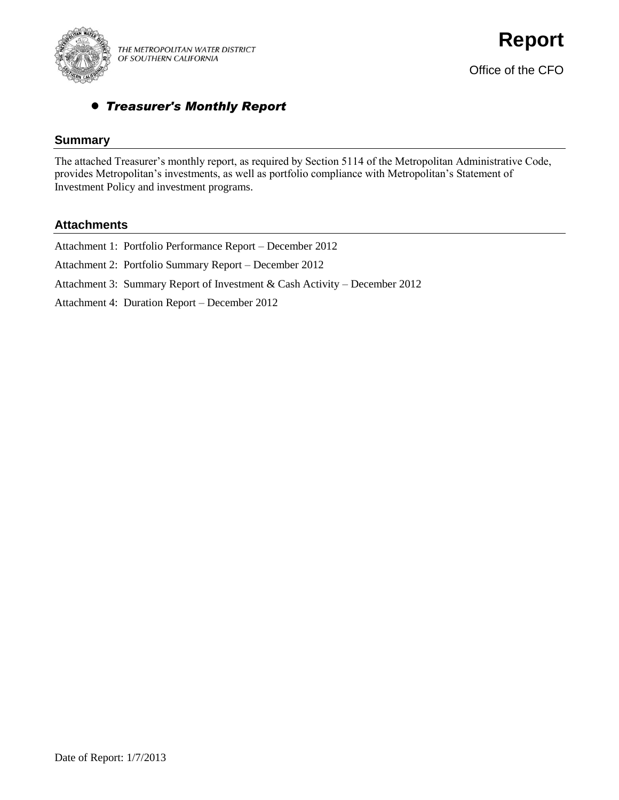

# *Treasurer's Monthly Report*

## **Summary**

The attached Treasurer's monthly report, as required by Section 5114 of the Metropolitan Administrative Code, provides Metropolitan's investments, as well as portfolio compliance with Metropolitan's Statement of Investment Policy and investment programs.

## **Attachments**

| Attachment 1: Portfolio Performance Report – December 2012                 |
|----------------------------------------------------------------------------|
| Attachment 2: Portfolio Summary Report – December 2012                     |
| Attachment 3: Summary Report of Investment & Cash Activity – December 2012 |
| Attachment 4: Duration Report – December 2012                              |
|                                                                            |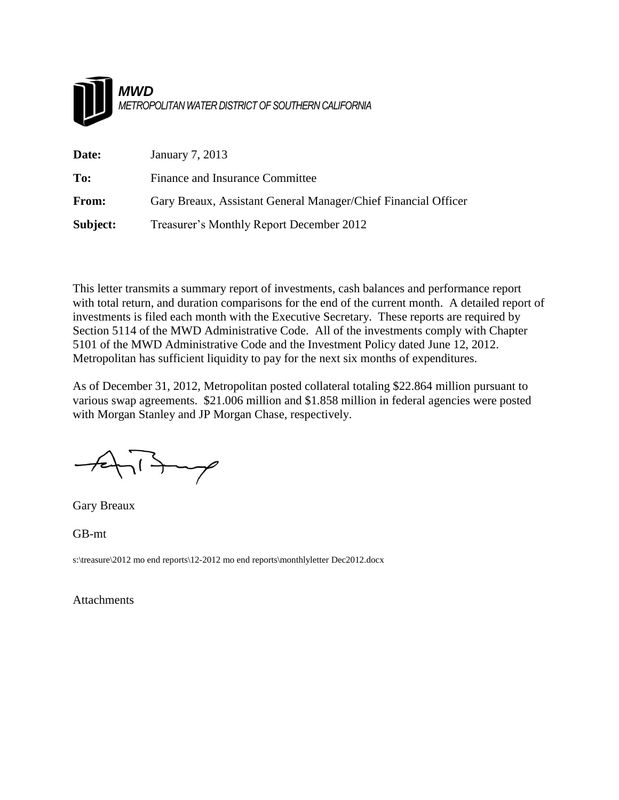

| Date:        | January 7, 2013                                                |
|--------------|----------------------------------------------------------------|
| To:          | Finance and Insurance Committee                                |
| <b>From:</b> | Gary Breaux, Assistant General Manager/Chief Financial Officer |
| Subject:     | Treasurer's Monthly Report December 2012                       |

This letter transmits a summary report of investments, cash balances and performance report with total return, and duration comparisons for the end of the current month. A detailed report of investments is filed each month with the Executive Secretary. These reports are required by Section 5114 of the MWD Administrative Code. All of the investments comply with Chapter 5101 of the MWD Administrative Code and the Investment Policy dated June 12, 2012. Metropolitan has sufficient liquidity to pay for the next six months of expenditures.

As of December 31, 2012, Metropolitan posted collateral totaling \$22.864 million pursuant to various swap agreements. \$21.006 million and \$1.858 million in federal agencies were posted with Morgan Stanley and JP Morgan Chase, respectively.

 $\gamma$ 

Gary Breaux

GB-mt

s:\treasure\2012 mo end reports\12-2012 mo end reports\monthlyletter Dec2012.docx

Attachments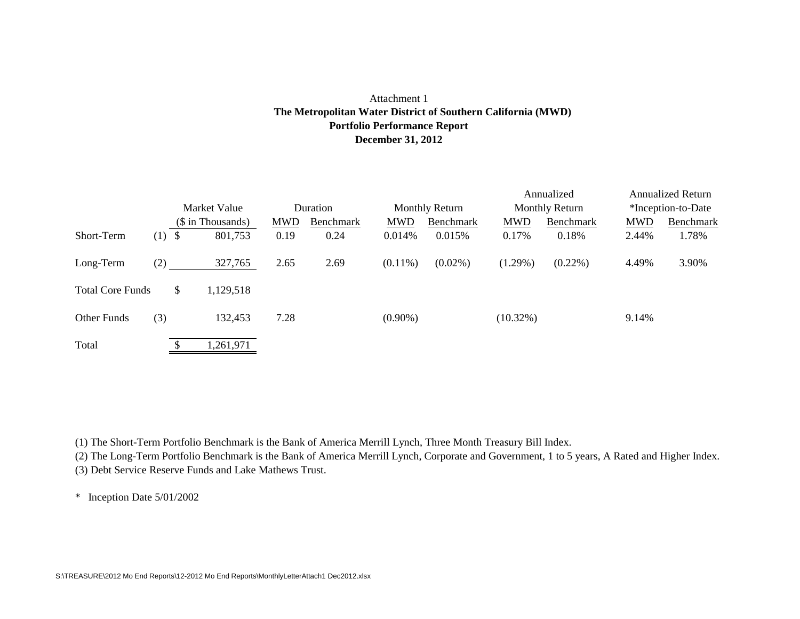### Attachment 1 **Portfolio Performance Report December 31, 2012 The Metropolitan Water District of Southern California (MWD)**

|                         |     |                   |            |           |            |                       |             | Annualized            |                    | <b>Annualized Return</b> |  |
|-------------------------|-----|-------------------|------------|-----------|------------|-----------------------|-------------|-----------------------|--------------------|--------------------------|--|
|                         |     | Market Value      | Duration   |           |            | <b>Monthly Return</b> |             | <b>Monthly Return</b> | *Inception-to-Date |                          |  |
|                         |     | (\$ in Thousands) | <b>MWD</b> | Benchmark | <b>MWD</b> | Benchmark             | <b>MWD</b>  | Benchmark             | <b>MWD</b>         | Benchmark                |  |
| Short-Term              | (1) | \$<br>801,753     | 0.19       | 0.24      | 0.014%     | 0.015%                | 0.17%       | 0.18%                 | 2.44%              | 1.78%                    |  |
| Long-Term               | (2) | 327,765           | 2.65       | 2.69      | $(0.11\%)$ | $(0.02\%)$            | $(1.29\%)$  | $(0.22\%)$            | 4.49%              | 3.90%                    |  |
| <b>Total Core Funds</b> |     | \$<br>1,129,518   |            |           |            |                       |             |                       |                    |                          |  |
| Other Funds             | (3) | 132,453           | 7.28       |           | $(0.90\%)$ |                       | $(10.32\%)$ |                       | 9.14%              |                          |  |
| Total                   |     | 1,261,971         |            |           |            |                       |             |                       |                    |                          |  |

(1) The Short-Term Portfolio Benchmark is the Bank of America Merrill Lynch, Three Month Treasury Bill Index.

(2) The Long-Term Portfolio Benchmark is the Bank of America Merrill Lynch, Corporate and Government, 1 to 5 years, A Rated and Higher Index. (3) Debt Service Reserve Funds and Lake Mathews Trust.

\* Inception Date 5/01/2002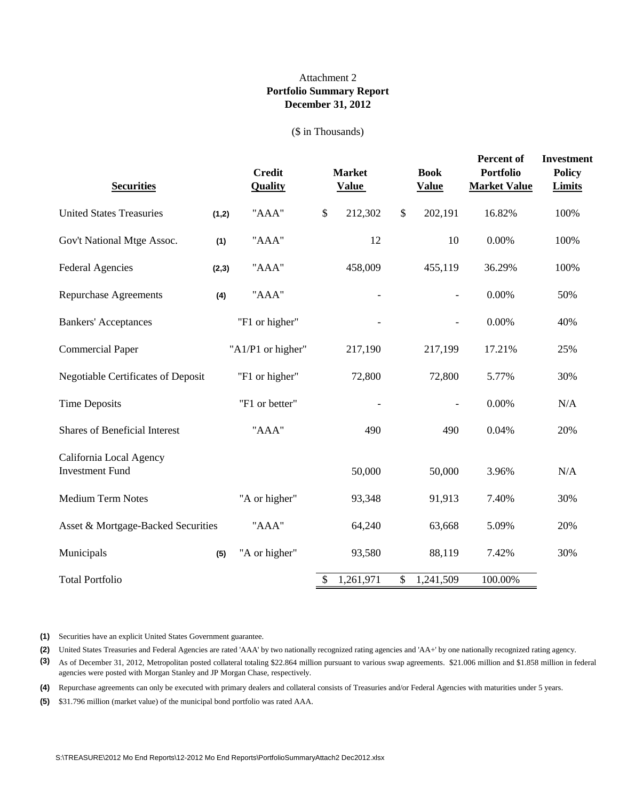### **Portfolio Summary Report December 31, 2012** Attachment 2

(\$ in Thousands)

| <b>Securities</b>                                 |       | <b>Credit</b><br><b>Quality</b> |      | <b>Market</b><br><b>Value</b> |        | <b>Book</b><br><b>Value</b> | Percent of<br><b>Portfolio</b><br><b>Market Value</b> | <b>Investment</b><br><b>Policy</b><br><b>Limits</b> |
|---------------------------------------------------|-------|---------------------------------|------|-------------------------------|--------|-----------------------------|-------------------------------------------------------|-----------------------------------------------------|
| <b>United States Treasuries</b>                   | (1,2) | "AAA"                           | $\$$ | 212,302                       | $\$\,$ | 202,191                     | 16.82%                                                | 100%                                                |
| Gov't National Mtge Assoc.                        | (1)   | "AAA"                           |      | 12                            |        | 10                          | $0.00\%$                                              | 100%                                                |
| <b>Federal Agencies</b>                           | (2,3) | "AAA"                           |      | 458,009                       |        | 455,119                     | 36.29%                                                | 100%                                                |
| <b>Repurchase Agreements</b>                      | (4)   | "AAA"                           |      |                               |        |                             | 0.00%                                                 | 50%                                                 |
| <b>Bankers' Acceptances</b>                       |       | "F1 or higher"                  |      |                               |        |                             | 0.00%                                                 | 40%                                                 |
| <b>Commercial Paper</b>                           |       | "A1/P1 or higher"               |      | 217,190                       |        | 217,199                     | 17.21%                                                | 25%                                                 |
| <b>Negotiable Certificates of Deposit</b>         |       | "F1 or higher"                  |      | 72,800                        |        | 72,800                      | 5.77%                                                 | 30%                                                 |
| <b>Time Deposits</b>                              |       | "F1 or better"                  |      |                               |        |                             | 0.00%                                                 | N/A                                                 |
| <b>Shares of Beneficial Interest</b>              |       | "AAA"                           |      | 490                           |        | 490                         | 0.04%                                                 | 20%                                                 |
| California Local Agency<br><b>Investment Fund</b> |       |                                 |      | 50,000                        |        | 50,000                      | 3.96%                                                 | N/A                                                 |
| <b>Medium Term Notes</b>                          |       | "A or higher"                   |      | 93,348                        |        | 91,913                      | 7.40%                                                 | 30%                                                 |
| Asset & Mortgage-Backed Securities                |       | "AAA"                           |      | 64,240                        |        | 63,668                      | 5.09%                                                 | 20%                                                 |
| Municipals                                        | (5)   | "A or higher"                   |      | 93,580                        |        | 88,119                      | 7.42%                                                 | 30%                                                 |
| <b>Total Portfolio</b>                            |       |                                 | \$   | 1,261,971                     | \$     | 1,241,509                   | 100.00%                                               |                                                     |

**(1)** Securities have an explicit United States Government guarantee.

**(2)** United States Treasuries and Federal Agencies are rated 'AAA' by two nationally recognized rating agencies and 'AA+' by one nationally recognized rating agency.

**(3)** As of December 31, 2012, Metropolitan posted collateral totaling \$22.864 million pursuant to various swap agreements. \$21.006 million and \$1.858 million in federal agencies were posted with Morgan Stanley and JP Morgan Chase, respectively.

**(4)** Repurchase agreements can only be executed with primary dealers and collateral consists of Treasuries and/or Federal Agencies with maturities under 5 years.

**(5)** \$31.796 million (market value) of the municipal bond portfolio was rated AAA.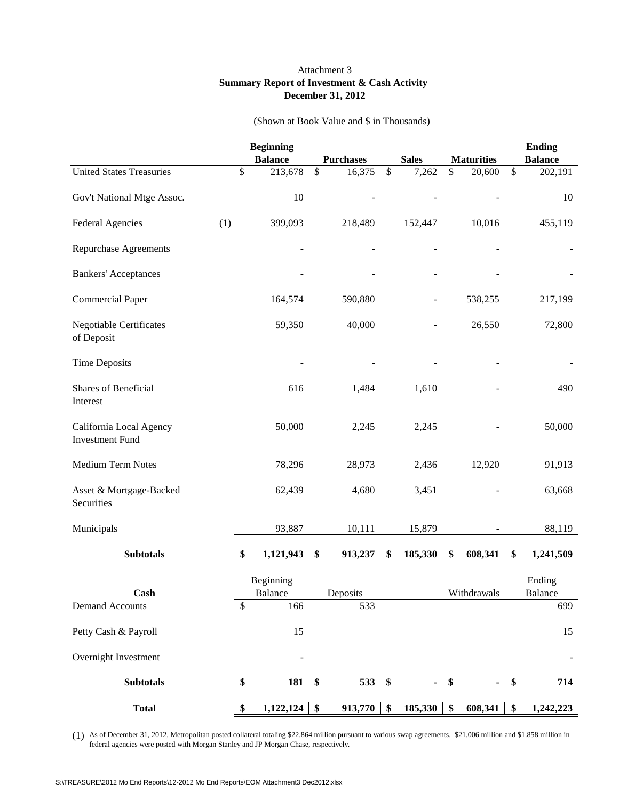#### Attachment 3 **Summary Report of Investment & Cash Activity December 31, 2012**

#### (Shown at Book Value and \$ in Thousands)

|                                                   |    | <b>Beginning</b><br><b>Balance</b> | <b>Purchases</b> |               | <b>Sales</b> | <b>Maturities</b>    |      | <b>Ending</b><br><b>Balance</b> |
|---------------------------------------------------|----|------------------------------------|------------------|---------------|--------------|----------------------|------|---------------------------------|
| <b>United States Treasuries</b>                   | \$ | 213,678                            | \$<br>16,375     | $\mathsf{\$}$ | 7,262        | \$<br>20,600         | $\$$ | 202,191                         |
| Gov't National Mtge Assoc.                        |    | 10                                 |                  |               |              |                      |      | 10                              |
| <b>Federal Agencies</b><br>(1)                    |    | 399,093                            | 218,489          |               | 152,447      | 10,016               |      | 455,119                         |
| <b>Repurchase Agreements</b>                      |    |                                    |                  |               |              |                      |      |                                 |
| <b>Bankers' Acceptances</b>                       |    |                                    |                  |               |              |                      |      |                                 |
| <b>Commercial Paper</b>                           |    | 164,574                            | 590,880          |               |              | 538,255              |      | 217,199                         |
| <b>Negotiable Certificates</b><br>of Deposit      |    | 59,350                             | 40,000           |               |              | 26,550               |      | 72,800                          |
| <b>Time Deposits</b>                              |    |                                    |                  |               |              |                      |      |                                 |
| Shares of Beneficial<br>Interest                  |    | 616                                | 1,484            |               | 1,610        |                      |      | 490                             |
| California Local Agency<br><b>Investment Fund</b> |    | 50,000                             | 2,245            |               | 2,245        |                      |      | 50,000                          |
| Medium Term Notes                                 |    | 78,296                             | 28,973           |               | 2,436        | 12,920               |      | 91,913                          |
| Asset & Mortgage-Backed<br>Securities             |    | 62,439                             | 4,680            |               | 3,451        |                      |      | 63,668                          |
| Municipals                                        |    | 93,887                             | 10,111           |               | 15,879       |                      |      | 88,119                          |
| <b>Subtotals</b>                                  | \$ | 1,121,943                          | \$<br>913,237    | \$            | 185,330      | \$<br>608,341        | \$   | 1,241,509                       |
| Cash                                              |    | Beginning<br>Balance               | Deposits         |               |              | Withdrawals          |      | Ending<br><b>Balance</b>        |
| <b>Demand Accounts</b>                            | \$ | 166                                | 533              |               |              |                      |      | 699                             |
| Petty Cash & Payroll                              |    | 15                                 |                  |               |              |                      |      | 15                              |
| Overnight Investment                              |    |                                    |                  |               |              |                      |      |                                 |
| <b>Subtotals</b>                                  | \$ | 181                                | \$<br>533        | \$            | ä,           | \$<br>$\blacksquare$ | \$   | 714                             |
| <b>Total</b>                                      | \$ | $1,122,124$ \$                     | 913,770          | \$            | 185,330      | \$<br>608,341        | \$   | 1,242,223                       |

(1) As of December 31, 2012, Metropolitan posted collateral totaling \$22.864 million pursuant to various swap agreements. \$21.006 million and \$1.858 million in federal agencies were posted with Morgan Stanley and JP Morgan Chase, respectively.